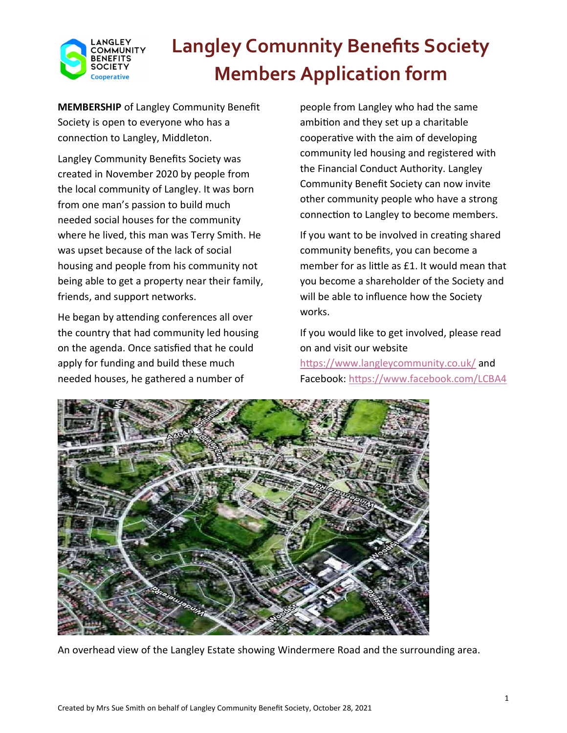

MEMBERSHIP of Langley Community Benefit Society is open to everyone who has a connection to Langley, Middleton.

Langley Community Benefits Society was created in November 2020 by people from the local community of Langley. It was born from one man's passion to build much needed social houses for the community where he lived, this man was Terry Smith. He was upset because of the lack of social housing and people from his community not being able to get a property near their family, friends, and support networks.

He began by attending conferences all over the country that had community led housing on the agenda. Once satisfied that he could apply for funding and build these much needed houses, he gathered a number of

people from Langley who had the same ambition and they set up a charitable cooperative with the aim of developing community led housing and registered with the Financial Conduct Authority. Langley Community Benefit Society can now invite other community people who have a strong connection to Langley to become members.

If you want to be involved in creating shared community benefits, you can become a member for as little as £1. It would mean that you become a shareholder of the Society and will be able to influence how the Society works.

If you would like to get involved, please read on and visit our website https://www.langleycommunity.co.uk/ and Facebook: https://www.facebook.com/LCBA4



An overhead view of the Langley Estate showing Windermere Road and the surrounding area.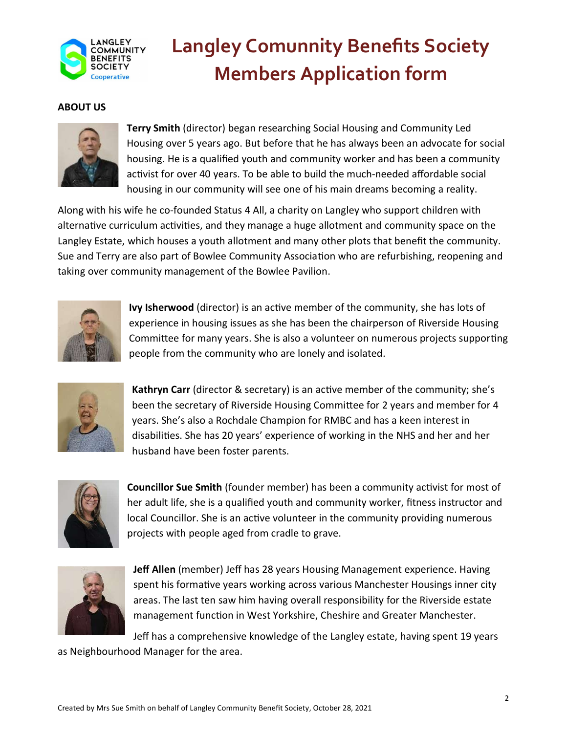

#### ABOUT US



Terry Smith (director) began researching Social Housing and Community Led Housing over 5 years ago. But before that he has always been an advocate for social housing. He is a qualified youth and community worker and has been a community activist for over 40 years. To be able to build the much-needed affordable social housing in our community will see one of his main dreams becoming a reality.

Along with his wife he co-founded Status 4 All, a charity on Langley who support children with alternative curriculum activities, and they manage a huge allotment and community space on the Langley Estate, which houses a youth allotment and many other plots that benefit the community. Sue and Terry are also part of Bowlee Community Association who are refurbishing, reopening and taking over community management of the Bowlee Pavilion.



Ivy Isherwood (director) is an active member of the community, she has lots of experience in housing issues as she has been the chairperson of Riverside Housing Committee for many years. She is also a volunteer on numerous projects supporting people from the community who are lonely and isolated.



Kathryn Carr (director & secretary) is an active member of the community; she's been the secretary of Riverside Housing Committee for 2 years and member for 4 years. She's also a Rochdale Champion for RMBC and has a keen interest in disabilities. She has 20 years' experience of working in the NHS and her and her husband have been foster parents.



Councillor Sue Smith (founder member) has been a community activist for most of her adult life, she is a qualified youth and community worker, fitness instructor and local Councillor. She is an active volunteer in the community providing numerous projects with people aged from cradle to grave.



Jeff Allen (member) Jeff has 28 years Housing Management experience. Having spent his formative years working across various Manchester Housings inner city areas. The last ten saw him having overall responsibility for the Riverside estate management function in West Yorkshire, Cheshire and Greater Manchester.

Jeff has a comprehensive knowledge of the Langley estate, having spent 19 years as Neighbourhood Manager for the area.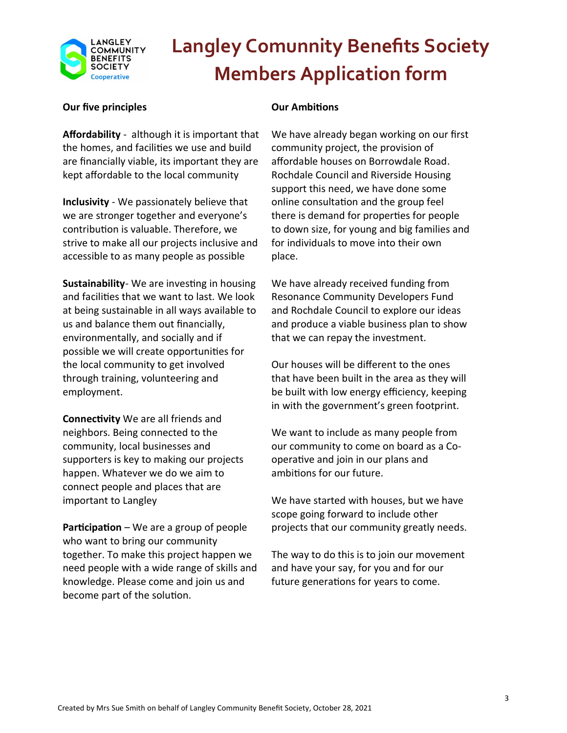

#### Our five principles

Affordability - although it is important that the homes, and facilities we use and build are financially viable, its important they are kept affordable to the local community

Inclusivity - We passionately believe that we are stronger together and everyone's contribution is valuable. Therefore, we strive to make all our projects inclusive and accessible to as many people as possible

Sustainability- We are investing in housing and facilities that we want to last. We look at being sustainable in all ways available to us and balance them out financially, environmentally, and socially and if possible we will create opportunities for the local community to get involved through training, volunteering and employment.

**Connectivity** We are all friends and neighbors. Being connected to the community, local businesses and supporters is key to making our projects happen. Whatever we do we aim to connect people and places that are important to Langley

**Participation** – We are a group of people who want to bring our community together. To make this project happen we need people with a wide range of skills and knowledge. Please come and join us and become part of the solution.

### **Our Ambitions**

We have already began working on our first community project, the provision of affordable houses on Borrowdale Road. Rochdale Council and Riverside Housing support this need, we have done some online consultation and the group feel there is demand for properties for people to down size, for young and big families and for individuals to move into their own place.

We have already received funding from Resonance Community Developers Fund and Rochdale Council to explore our ideas and produce a viable business plan to show that we can repay the investment.

Our houses will be different to the ones that have been built in the area as they will be built with low energy efficiency, keeping in with the government's green footprint.

We want to include as many people from our community to come on board as a Cooperative and join in our plans and ambitions for our future.

We have started with houses, but we have scope going forward to include other projects that our community greatly needs.

The way to do this is to join our movement and have your say, for you and for our future generations for years to come.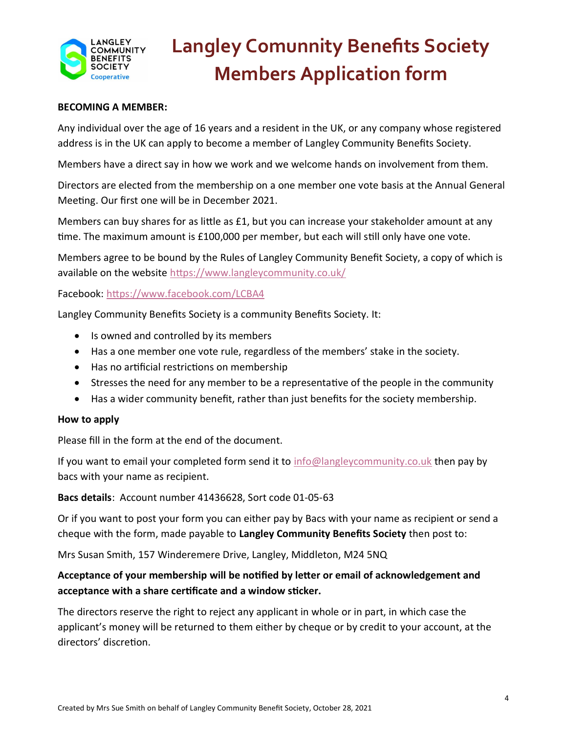

#### BECOMING A MEMBER:

Any individual over the age of 16 years and a resident in the UK, or any company whose registered address is in the UK can apply to become a member of Langley Community Benefits Society.

Members have a direct say in how we work and we welcome hands on involvement from them.

Directors are elected from the membership on a one member one vote basis at the Annual General Meeting. Our first one will be in December 2021.

Members can buy shares for as little as  $£1$ , but you can increase your stakeholder amount at any time. The maximum amount is £100,000 per member, but each will still only have one vote.

Members agree to be bound by the Rules of Langley Community Benefit Society, a copy of which is available on the website https://www.langleycommunity.co.uk/

Facebook: https://www.facebook.com/LCBA4

Langley Community Benefits Society is a community Benefits Society. It:

- Is owned and controlled by its members
- Has a one member one vote rule, regardless of the members' stake in the society.
- Has no artificial restrictions on membership
- Stresses the need for any member to be a representative of the people in the community
- Has a wider community benefit, rather than just benefits for the society membership.

#### How to apply

Please fill in the form at the end of the document.

If you want to email your completed form send it to  $info@language\\commonity.co.uk$  then pay by bacs with your name as recipient.

Bacs details: Account number 41436628, Sort code 01-05-63

Or if you want to post your form you can either pay by Bacs with your name as recipient or send a cheque with the form, made payable to Langley Community Benefits Society then post to:

Mrs Susan Smith, 157 Winderemere Drive, Langley, Middleton, M24 5NQ

### Acceptance of your membership will be notified by letter or email of acknowledgement and acceptance with a share certificate and a window sticker.

The directors reserve the right to reject any applicant in whole or in part, in which case the applicant's money will be returned to them either by cheque or by credit to your account, at the directors' discretion.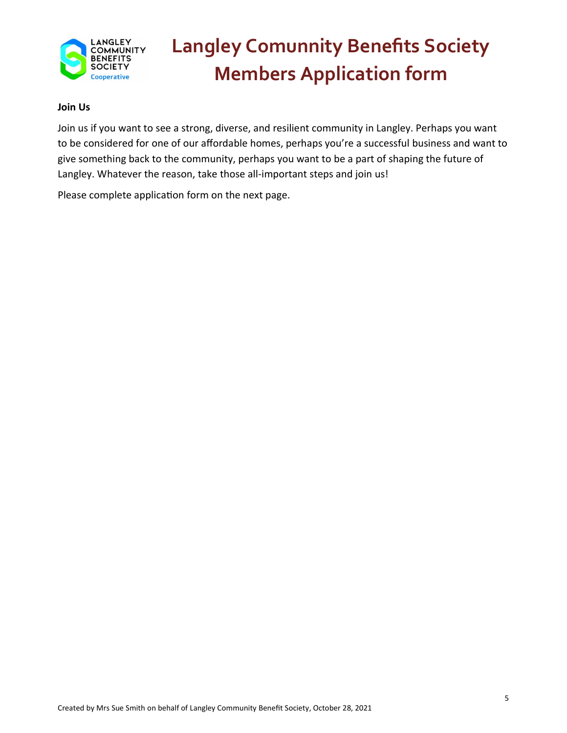

#### Join Us

Join us if you want to see a strong, diverse, and resilient community in Langley. Perhaps you want to be considered for one of our affordable homes, perhaps you're a successful business and want to give something back to the community, perhaps you want to be a part of shaping the future of Langley. Whatever the reason, take those all-important steps and join us!

Please complete application form on the next page.